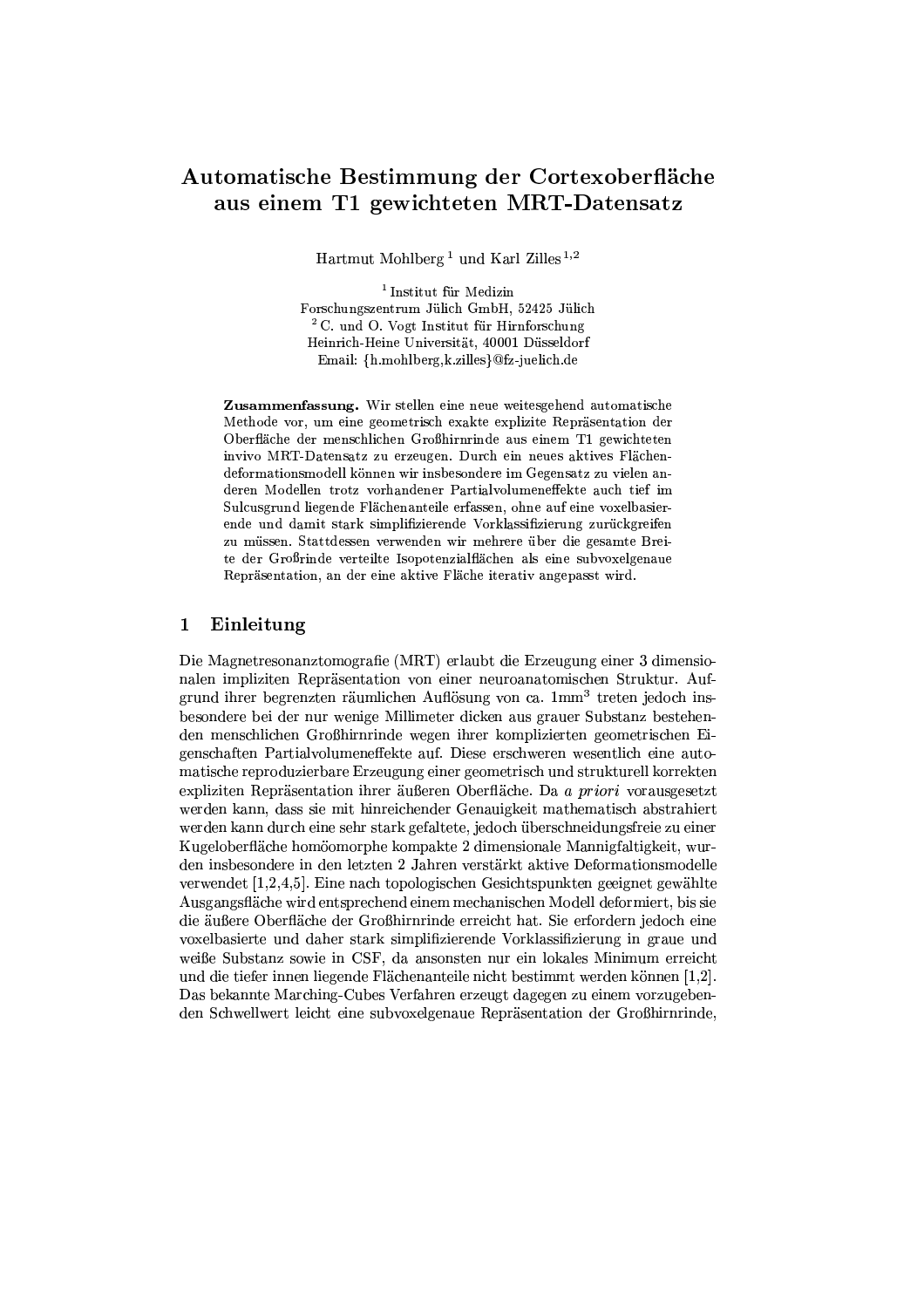# Automatische Bestimmung der Cortexoberfläche aus einem T1 gewichteten MRT-Datensatz

Hartmut Mohlberg<sup>1</sup> und Karl Zilles<sup>1,2</sup>

 $^{\rm 1}$  Institut für Medizin Forschungszentrum Jülich GmbH, 52425 Jülich <sup>2</sup> C. und O. Vogt Institut für Hirnforschung Heinrich-Heine Universität, 40001 Düsseldorf Email: {h.mohlberg,k.zilles}@fz-juelich.de

Zusammenfassung. Wir stellen eine neue weitesgehend automatische Methode vor, um eine geometrisch exakte explizite Repräsentation der Oberfläche der menschlichen Großhirnrinde aus einem T1 gewichteten invivo MRT-Datensatz zu erzeugen. Durch ein neues aktives Flächendeformationsmodell können wir insbesondere im Gegensatz zu vielen anderen Modellen trotz vorhandener Partialvolumeneffekte auch tief im Sulcusgrund liegende Flächenanteile erfassen, ohne auf eine voxelbasierende und damit stark simplifizierende Vorklassifizierung zurückgreifen zu müssen. Stattdessen verwenden wir mehrere über die gesamte Breite der Großrinde verteilte Isopotenzialflächen als eine subvoxelgenaue Repräsentation, an der eine aktive Fläche iterativ angepasst wird.

# Einleitung  $\mathbf 1$

Die Magnetresonanztomografie (MRT) erlaubt die Erzeugung einer 3 dimensionalen impliziten Repräsentation von einer neuroanatomischen Struktur. Aufgrund ihrer begrenzten räumlichen Auflösung von ca. 1mm<sup>3</sup> treten jedoch insbesondere bei der nur wenige Millimeter dicken aus grauer Substanz bestehenden menschlichen Großhirnrinde wegen ihrer komplizierten geometrischen Eigenschaften Partialvolumeneffekte auf. Diese erschweren wesentlich eine automatische reproduzierbare Erzeugung einer geometrisch und strukturell korrekten expliziten Repräsentation ihrer äußeren Oberfläche. Da a priori vorausgesetzt werden kann, dass sie mit hinreichender Genauigkeit mathematisch abstrahiert werden kann durch eine sehr stark gefaltete, jedoch überschneidungsfreie zu einer Kugeloberfläche homöomorphe kompakte 2 dimensionale Mannigfaltigkeit, wurden insbesondere in den letzten 2 Jahren verstärkt aktive Deformationsmodelle verwendet [1,2,4,5]. Eine nach topologischen Gesichtspunkten geeignet gewählte Ausgangsfläche wird entsprechend einem mechanischen Modell deformiert, bis sie die äußere Oberfläche der Großhirnrinde erreicht hat. Sie erfordern jedoch eine voxelbasierte und daher stark simplifizierende Vorklassifizierung in graue und weiße Substanz sowie in CSF, da ansonsten nur ein lokales Minimum erreicht und die tiefer innen liegende Flächenanteile nicht bestimmt werden können [1,2]. Das bekannte Marching-Cubes Verfahren erzeugt dagegen zu einem vorzugebenden Schwellwert leicht eine subvoxelgenaue Repräsentation der Großhirnrinde,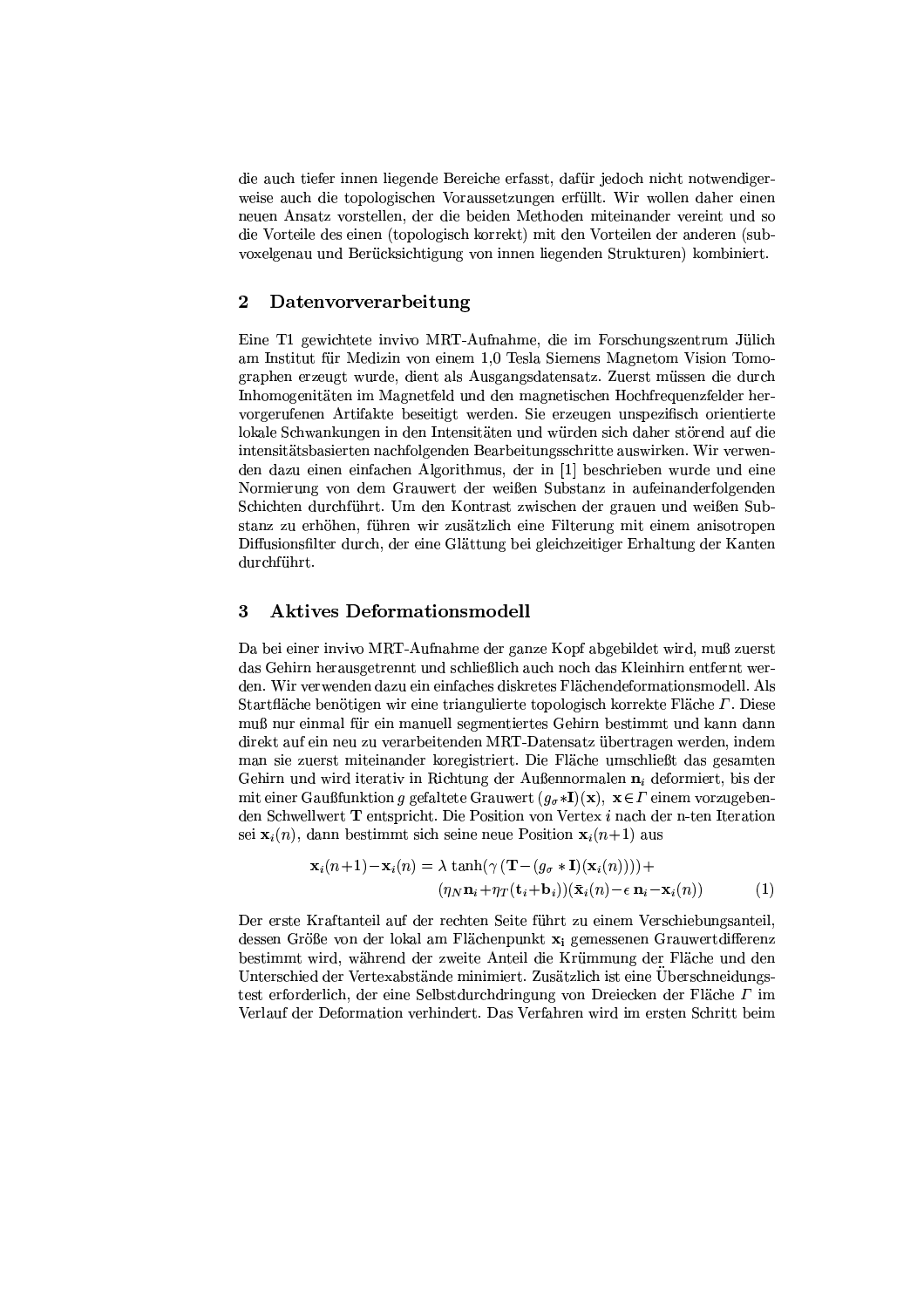die auch tiefer innen liegende Bereiche erfasst, dafür jedoch nicht notwendigerweise auch die topologischen Voraussetzungen erfüllt. Wir wollen daher einen neuen Ansatz vorstellen, der die beiden Methoden miteinander vereint und so die Vorteile des einen (topologisch korrekt) mit den Vorteilen der anderen (subvoxelgenau und Berücksichtigung von innen liegenden Strukturen) kombiniert.

#### $\overline{2}$ Datenvorverarbeitung

Eine T1 gewichtete invivo MRT-Aufnahme, die im Forschungszentrum Jülich am Institut für Medizin von einem 1,0 Tesla Siemens Magnetom Vision Tomographen erzeugt wurde, dient als Ausgangsdatensatz. Zuerst müssen die durch Inhomogenitäten im Magnetfeld und den magnetischen Hochfrequenzfelder hervorgerufenen Artifakte beseitigt werden. Sie erzeugen unspezifisch orientierte lokale Schwankungen in den Intensitäten und würden sich daher störend auf die intensitätsbasierten nachfolgenden Bearbeitungsschritte auswirken. Wir verwenden dazu einen einfachen Algorithmus, der in [1] beschrieben wurde und eine Normierung von dem Grauwert der weißen Substanz in aufeinanderfolgenden Schichten durchführt. Um den Kontrast zwischen der grauen und weißen Substanz zu erhöhen, führen wir zusätzlich eine Filterung mit einem anisotropen Diffusionsfilter durch, der eine Glättung bei gleichzeitiger Erhaltung der Kanten durchführt.

#### 3 **Aktives Deformationsmodell**

Da bei einer invivo MRT-Aufnahme der ganze Kopf abgebildet wird, muß zuerst das Gehirn herausgetrennt und schließlich auch noch das Kleinhirn entfernt werden. Wir verwenden dazu ein einfaches diskretes Flächendeformationsmodell. Als Startfläche benötigen wir eine triangulierte topologisch korrekte Fläche  $\Gamma$ . Diese muß nur einmal für ein manuell segmentiertes Gehirn bestimmt und kann dann direkt auf ein neu zu verarbeitenden MRT-Datensatz übertragen werden, indem man sie zuerst miteinander koregistriert. Die Fläche umschließt das gesamten Gehirn und wird iterativ in Richtung der Außennormalen  $n_i$  deformiert, bis der mit einer Gaußfunktion g gefaltete Grauwert  $(g_{\sigma}*I)(x)$ ,  $x \in \Gamma$  einem vorzugebenden Schwellwert T entspricht. Die Position von Vertex  $i$  nach der n-ten Iteration sei  $\mathbf{x}_i(n)$ , dann bestimmt sich seine neue Position  $\mathbf{x}_i(n+1)$  aus

$$
\mathbf{x}_{i}(n+1) - \mathbf{x}_{i}(n) = \lambda \tanh(\gamma (\mathbf{T} - (g_{\sigma} * \mathbf{I})(\mathbf{x}_{i}(n)))) + (\eta_{N} \mathbf{n}_{i} + \eta_{T}(\mathbf{t}_{i} + \mathbf{b}_{i}))(\bar{\mathbf{x}}_{i}(n) - \epsilon \mathbf{n}_{i} - \mathbf{x}_{i}(n))
$$
(1)

Der erste Kraftanteil auf der rechten Seite führt zu einem Verschiebungsanteil, dessen Größe von der lokal am Flächenpunkt  $x_i$  gemessenen Grauwertdifferenz bestimmt wird, während der zweite Anteil die Krümmung der Fläche und den Unterschied der Vertexabstände minimiert. Zusätzlich ist eine Überschneidungstest erforderlich, der eine Selbstdurchdringung von Dreiecken der Fläche T im Verlauf der Deformation verhindert. Das Verfahren wird im ersten Schritt beim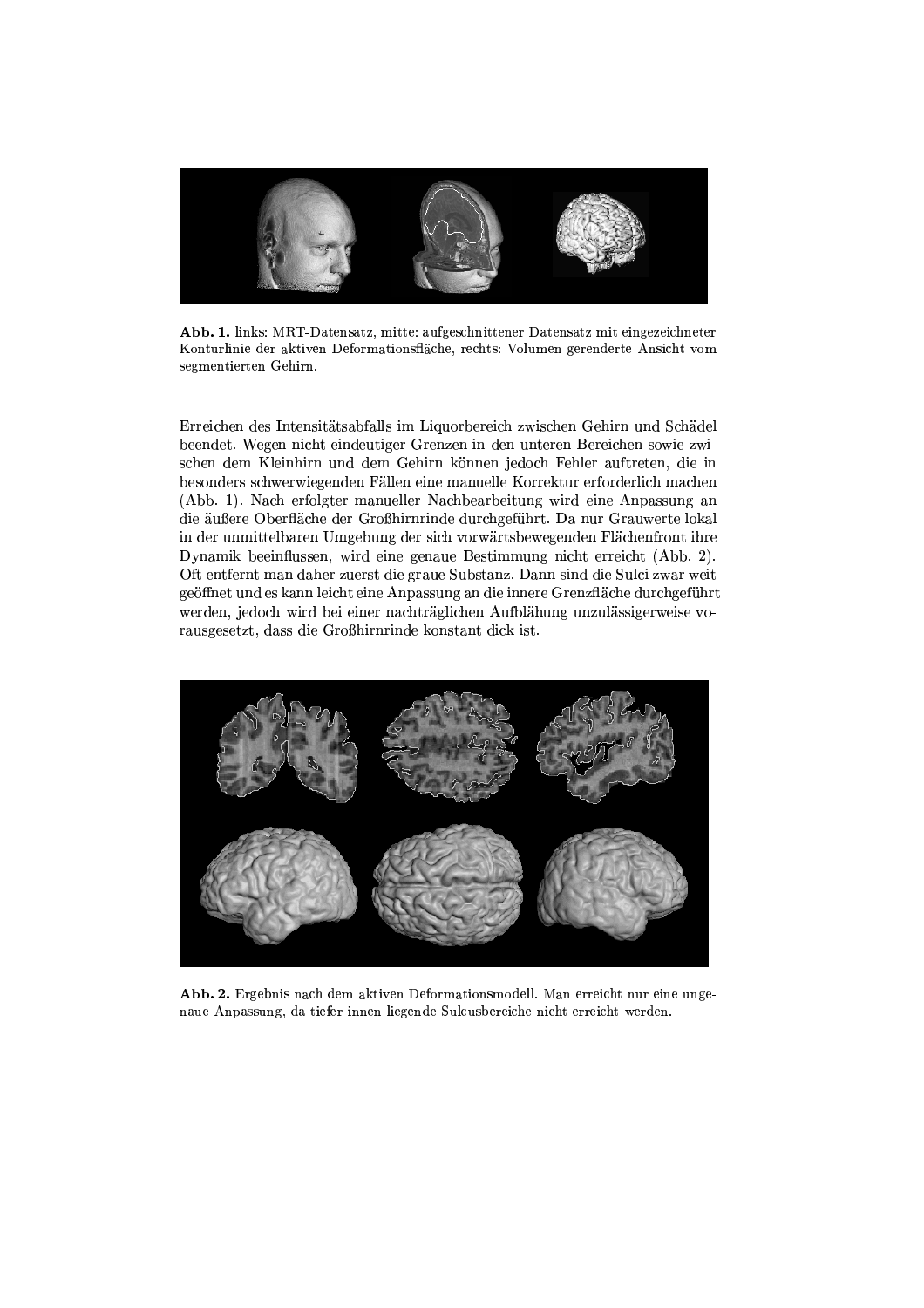

Abb. 1. links: MRT-Datensatz, mitte: aufgeschnittener Datensatz mit eingezeichneter Konturlinie der aktiven Deformationsfläche, rechts: Volumen gerenderte Ansicht vom segmentierten Gehirn.

Erreichen des Intensitätsabfalls im Liquorbereich zwischen Gehirn und Schädel beendet. Wegen nicht eindeutiger Grenzen in den unteren Bereichen sowie zwischen dem Kleinhirn und dem Gehirn können jedoch Fehler auftreten, die in besonders schwerwiegenden Fällen eine manuelle Korrektur erforderlich machen (Abb. 1). Nach erfolgter manueller Nachbearbeitung wird eine Anpassung an die äußere Oberfläche der Großhirnrinde durchgeführt. Da nur Grauwerte lokal in der unmittelbaren Umgebung der sich vorwärtsbewegenden Flächenfront ihre Dynamik beeinflussen, wird eine genaue Bestimmung nicht erreicht (Abb. 2). Oft entfernt man daher zuerst die graue Substanz. Dann sind die Sulci zwar weit geöffnet und es kann leicht eine Anpassung an die innere Grenzfläche durchgeführt werden, jedoch wird bei einer nachträglichen Aufblähung unzulässigerweise vorausgesetzt, dass die Großhirnrinde konstant dick ist.



Abb. 2. Ergebnis nach dem aktiven Deformationsmodell. Man erreicht nur eine ungenaue Anpassung, da tiefer innen liegende Sulcusbereiche nicht erreicht werden.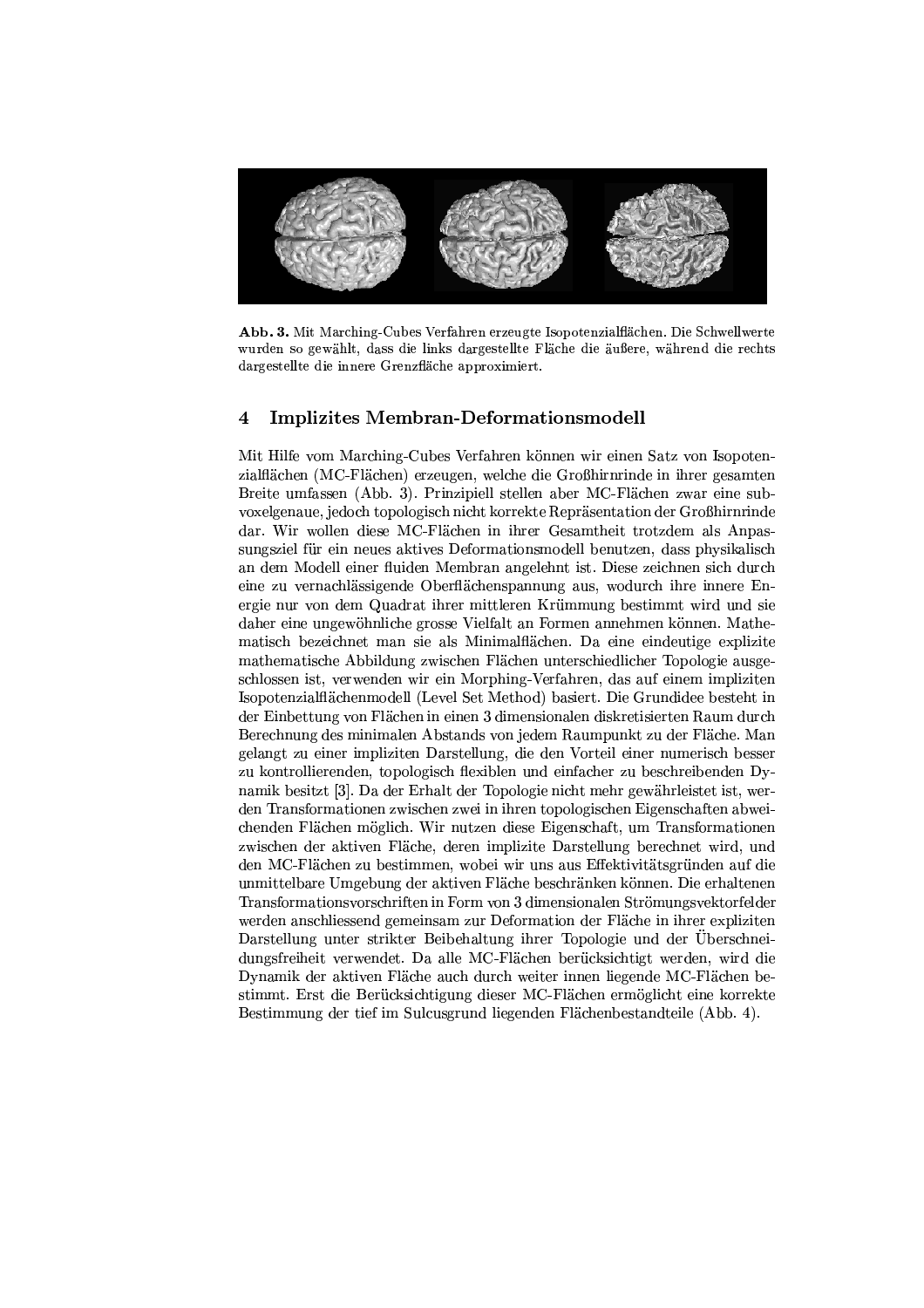

Abb. 3. Mit Marching-Cubes Verfahren erzeugte Isopotenzialflächen. Die Schwellwerte wurden so gewählt, dass die links dargestellte Fläche die äußere, während die rechts dargestellte die innere Grenzfläche approximiert.

# $\overline{\mathcal{A}}$ **Implizites Membran-Deformationsmodell**

Mit Hilfe vom Marching-Cubes Verfahren können wir einen Satz von Isopotenzialflächen (MC-Flächen) erzeugen, welche die Großhirnrinde in ihrer gesamten Breite umfassen (Abb. 3). Prinzipiell stellen aber MC-Flächen zwar eine subvoxelgenaue, jedoch topologisch nicht korrekte Repräsentation der Großhirnrinde dar. Wir wollen diese MC-Flächen in ihrer Gesamtheit trotzdem als Anpassungsziel für ein neues aktives Deformationsmodell benutzen, dass physikalisch an dem Modell einer fluiden Membran angelehnt ist. Diese zeichnen sich durch eine zu vernachlässigende Oberflächenspannung aus, wodurch ihre innere Energie nur von dem Quadrat ihrer mittleren Krümmung bestimmt wird und sie daher eine ungewöhnliche grosse Vielfalt an Formen annehmen können. Mathematisch bezeichnet man sie als Minimalflächen. Da eine eindeutige explizite mathematische Abbildung zwischen Flächen unterschiedlicher Topologie ausgeschlossen ist, verwenden wir ein Morphing-Verfahren, das auf einem impliziten Isopotenzialflächenmodell (Level Set Method) basiert. Die Grundidee besteht in der Einbettung von Flächen in einen 3 dimensionalen diskretisierten Raum durch Berechnung des minimalen Abstands von jedem Raumpunkt zu der Fläche. Man gelangt zu einer impliziten Darstellung, die den Vorteil einer numerisch besser zu kontrollierenden, topologisch flexiblen und einfacher zu beschreibenden Dynamik besitzt [3]. Da der Erhalt der Topologie nicht mehr gewährleistet ist, werden Transformationen zwischen zwei in ihren topologischen Eigenschaften abweichenden Flächen möglich. Wir nutzen diese Eigenschaft, um Transformationen zwischen der aktiven Fläche, deren implizite Darstellung berechnet wird, und den MC-Flächen zu bestimmen, wobei wir uns aus Effektivitätsgründen auf die unmittelbare Umgebung der aktiven Fläche beschränken können. Die erhaltenen Transformationsvorschriften in Form von 3 dimensionalen Strömungsvektorfelder werden anschliessend gemeinsam zur Deformation der Fläche in ihrer expliziten Darstellung unter strikter Beibehaltung ihrer Topologie und der Uberschneidungsfreiheit verwendet. Da alle MC-Flächen berücksichtigt werden, wird die Dynamik der aktiven Fläche auch durch weiter innen liegende MC-Flächen bestimmt. Erst die Berücksichtigung dieser MC-Flächen ermöglicht eine korrekte Bestimmung der tief im Sulcusgrund liegenden Flächenbestandteile (Abb. 4).